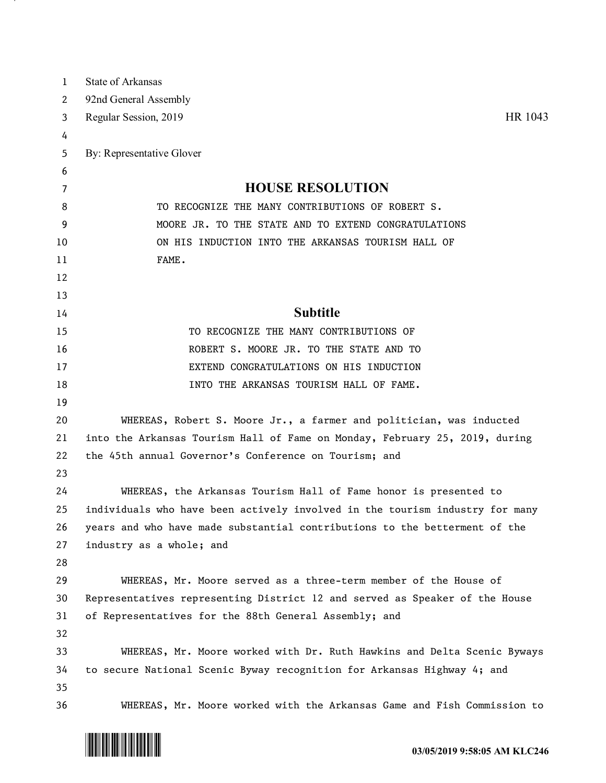| 1  | <b>State of Arkansas</b>                                                     |
|----|------------------------------------------------------------------------------|
| 2  | 92nd General Assembly                                                        |
| 3  | HR 1043<br>Regular Session, 2019                                             |
| 4  |                                                                              |
| 5  | By: Representative Glover                                                    |
| 6  |                                                                              |
| 7  | <b>HOUSE RESOLUTION</b>                                                      |
| 8  | TO RECOGNIZE THE MANY CONTRIBUTIONS OF ROBERT S.                             |
| 9  | MOORE JR. TO THE STATE AND TO EXTEND CONGRATULATIONS                         |
| 10 | ON HIS INDUCTION INTO THE ARKANSAS TOURISM HALL OF                           |
| 11 | FAME.                                                                        |
| 12 |                                                                              |
| 13 |                                                                              |
| 14 | <b>Subtitle</b>                                                              |
| 15 | TO RECOGNIZE THE MANY CONTRIBUTIONS OF                                       |
| 16 | ROBERT S. MOORE JR. TO THE STATE AND TO                                      |
| 17 | EXTEND CONGRATULATIONS ON HIS INDUCTION                                      |
| 18 | INTO THE ARKANSAS TOURISM HALL OF FAME.                                      |
| 19 |                                                                              |
| 20 | WHEREAS, Robert S. Moore Jr., a farmer and politician, was inducted          |
| 21 | into the Arkansas Tourism Hall of Fame on Monday, February 25, 2019, during  |
| 22 | the 45th annual Governor's Conference on Tourism; and                        |
| 23 |                                                                              |
| 24 | WHEREAS, the Arkansas Tourism Hall of Fame honor is presented to             |
| 25 | individuals who have been actively involved in the tourism industry for many |
| 26 | years and who have made substantial contributions to the betterment of the   |
| 27 | industry as a whole; and                                                     |
| 28 |                                                                              |
| 29 | WHEREAS, Mr. Moore served as a three-term member of the House of             |
| 30 | Representatives representing District 12 and served as Speaker of the House  |
| 31 | of Representatives for the 88th General Assembly; and                        |
| 32 |                                                                              |
| 33 | WHEREAS, Mr. Moore worked with Dr. Ruth Hawkins and Delta Scenic Byways      |
| 34 | to secure National Scenic Byway recognition for Arkansas Highway 4; and      |
| 35 |                                                                              |
| 36 | WHEREAS, Mr. Moore worked with the Arkansas Game and Fish Commission to      |



- 7